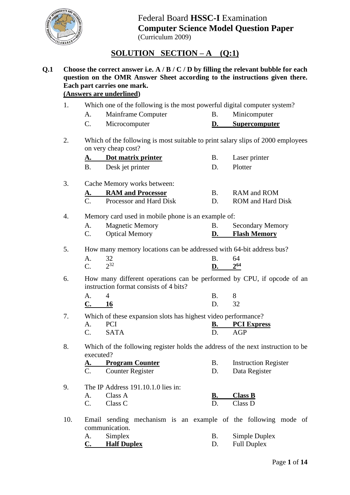

# **SOLUTION SECTION – A (Q:1)**

#### **Q.1 Choose the correct answer i.e. A / B / C / D by filling the relevant bubble for each question on the OMR Answer Sheet according to the instructions given there. Each part carries one mark. (Answers are underlined)**

- 1. Which one of the following is the most powerful digital computer system?
	- A. Mainframe Computer B. Minicomputer
	- C. Microcomputer **D. Supercomputer**
- 2. Which of the following is most suitable to print salary slips of 2000 employees on very cheap cost?

| Dot matrix printer | Laser printer  |
|--------------------|----------------|
| Desk jet printer   | <b>Plotter</b> |

3. Cache Memory works between:

|  | <b>RAM and Processor</b> | RAM and ROM       |
|--|--------------------------|-------------------|
|  | Processor and Hard Disk  | ROM and Hard Disk |

#### 4. Memory card used in mobile phone is an example of:

|                | <b>Magnetic Memory</b> | <b>Secondary Memory</b> |
|----------------|------------------------|-------------------------|
| $\mathbf{C}$ . | <b>Optical Memory</b>  | <b>Flash Memory</b>     |

5. How many memory locations can be addressed with 64-bit address bus?

| A. 32             | B. 64       |  |
|-------------------|-------------|--|
| $\Gamma$ $2^{32}$ | $D. 2^{64}$ |  |

6. How many different operations can be performed by CPU, if opcode of an instruction format consists of 4 bits?

| A.    |  | R.    |  |
|-------|--|-------|--|
| C. 16 |  | D. 32 |  |

7. Which of these expansion slots has highest video performance? A. PCI **B. PCI Express**<br>C SATA D AGP C. SATA D. AGP

8. Which of the following register holds the address of the next instruction to be executed?

| А. | <b>Program Counter</b> | <b>Instruction Register</b> |
|----|------------------------|-----------------------------|
|    | Counter Register       | Data Register               |

- 9. The IP Address 191.10.1.0 lies in: A. Class A **B. Class B** C. Class C D. Class D
- 10. Email sending mechanism is an example of the following mode of communication.

| A. | Simplex            | Simple Duplex      |
|----|--------------------|--------------------|
| C. | <b>Half Duplex</b> | <b>Full Duplex</b> |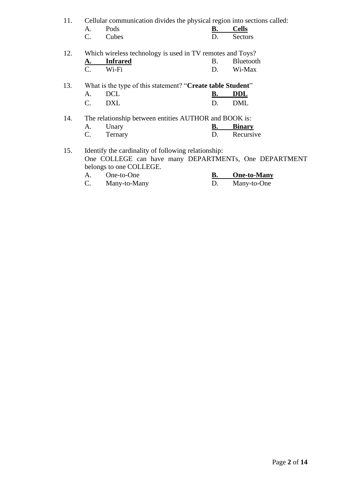| 11.<br>Cellular communication divides the physical region into sections called: |  |
|---------------------------------------------------------------------------------|--|
|---------------------------------------------------------------------------------|--|

| A. | Pods     | <b>Cells</b> |
|----|----------|--------------|
|    | C. Cubes | Sectors      |

| 12. |             | Which wireless technology is used in TV remotes and Toys? |              |
|-----|-------------|-----------------------------------------------------------|--------------|
|     | A. Infrared |                                                           | B. Bluetooth |
|     | $C \tWi-Fi$ |                                                           | Wi-Max       |

|  |        | 13. What is the type of this statement? "Create table Student" |        |
|--|--------|----------------------------------------------------------------|--------|
|  | A. DCL |                                                                | B. DDL |
|  | C. DXL |                                                                | D. DML |

14. The relationship between entities AUTHOR and BOOK is:

| ∪nary   | <b>Binary</b> |
|---------|---------------|
| Fernary | Recursive     |

15. Identify the cardinality of following relationship: One COLLEGE can have many DEPARTMENTs, One DEPARTMENT belongs to one COLLEGE.

| One-to-One   | One-to-Many |
|--------------|-------------|
| Many-to-Many | Many-to-One |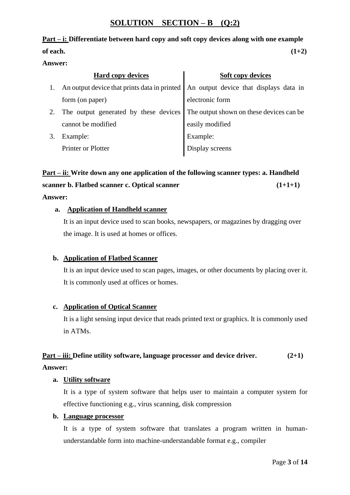## **SOLUTION SECTION – B (Q:2)**

# **Part – i: Differentiate between hard copy and soft copy devices along with one example**

#### **of each. (1+2)**

#### **Answer:**

|    | <b>Hard copy devices</b>                                                              | <b>Soft copy devices</b>                 |
|----|---------------------------------------------------------------------------------------|------------------------------------------|
| 1. | An output device that prints data in printed   An output device that displays data in |                                          |
|    | form (on paper)                                                                       | electronic form                          |
|    | The output generated by these devices                                                 | The output shown on these devices can be |
|    | cannot be modified                                                                    | easily modified                          |
|    | Example:                                                                              | Example:                                 |
|    | <b>Printer or Plotter</b>                                                             | Display screens                          |

# **Part – ii: Write down any one application of the following scanner types: a. Handheld scanner b. Flatbed scanner c. Optical scanner (1+1+1)** (1+1+1)

#### **Answer:**

#### **a. Application of Handheld scanner**

It is an input device used to scan books, newspapers, or magazines by dragging over the image. It is used at homes or offices.

#### **b. Application of Flatbed Scanner**

It is an input device used to scan pages, images, or other documents by placing over it. It is commonly used at offices or homes.

#### **c. Application of Optical Scanner**

It is a light sensing input device that reads printed text or graphics. It is commonly used in ATMs.

#### **Part – iii: Define utility software, language processor and device driver. (2+1)**

#### **Answer:**

#### **a. Utility software**

It is a type of system software that helps user to maintain a computer system for effective functioning e.g., virus scanning, disk compression

#### **b. Language processor**

It is a type of system software that translates a program written in humanunderstandable form into machine-understandable format e.g., compiler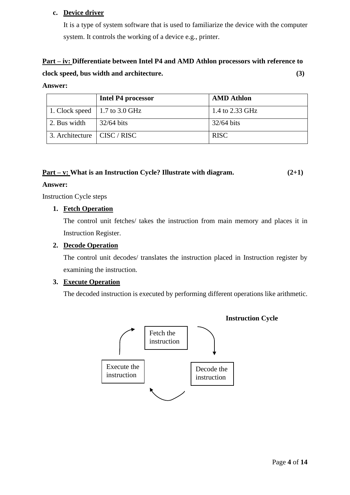#### **c. Device driver**

It is a type of system software that is used to familiarize the device with the computer system. It controls the working of a device e.g., printer.

# **Part – iv: Differentiate between Intel P4 and AMD Athlon processors with reference to clock speed, bus width and architecture. (3)**

#### **Answer:**

|                                     | Intel P4 processor | <b>AMD</b> Athlon |
|-------------------------------------|--------------------|-------------------|
| 1. Clock speed   1.7 to 3.0 GHz     |                    | 1.4 to 2.33 GHz   |
| 2. Bus width                        | $32/64$ bits       | 32/64 bits        |
| 3. Architecture $\vert$ CISC / RISC |                    | <b>RISC</b>       |

#### **Part – v: What is an Instruction Cycle? Illustrate with diagram. (2+1)**

#### **Answer:**

Instruction Cycle steps

#### **1. Fetch Operation**

The control unit fetches/ takes the instruction from main memory and places it in Instruction Register.

#### **2. Decode Operation**

The control unit decodes/ translates the instruction placed in Instruction register by examining the instruction.

#### **3. Execute Operation**

The decoded instruction is executed by performing different operations like arithmetic.

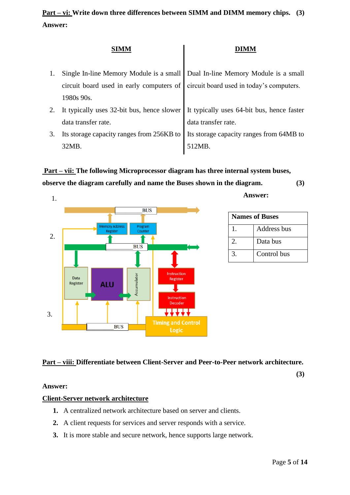| 1. | Single In-line Memory Module is a small   Dual In-line Memory Module is a small |                                            |
|----|---------------------------------------------------------------------------------|--------------------------------------------|
|    | circuit board used in early computers of                                        | circuit board used in today's computers.   |
|    | 1980s 90s.                                                                      |                                            |
| 2. | It typically uses 32-bit bus, hence slower                                      | It typically uses 64-bit bus, hence faster |
|    | data transfer rate.                                                             | data transfer rate.                        |
| 3. | Its storage capacity ranges from 256KB to                                       | Its storage capacity ranges from 64MB to   |
|    | 32MB.                                                                           | 512MR                                      |

# **Part – vii: The following Microprocessor diagram has three internal system buses, observe the diagram carefully and name the Buses shown in the diagram. (3)**



**Answer:** 

| <b>Names of Buses</b> |             |  |
|-----------------------|-------------|--|
|                       | Address bus |  |
|                       | Data bus    |  |
|                       | Control bus |  |

## **Part – viii: Differentiate between Client-Server and Peer-to-Peer network architecture.**

**(3)**

#### **Answer:**

#### **Client-Server network architecture**

- **1.** A centralized network architecture based on server and clients.
- **2.** A client requests for services and server responds with a service.
- **3.** It is more stable and secure network, hence supports large network.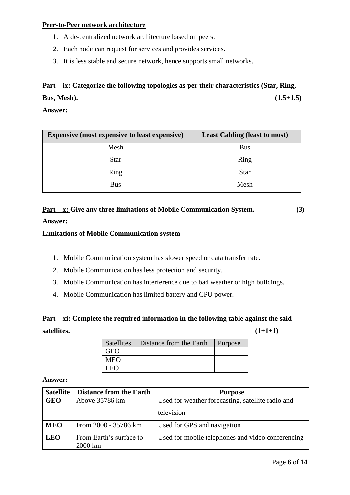#### **Peer-to-Peer network architecture**

- 1. A de-centralized network architecture based on peers.
- 2. Each node can request for services and provides services.
- 3. It is less stable and secure network, hence supports small networks.

# **Part – ix: Categorize the following topologies as per their characteristics (Star, Ring, Bus, Mesh). (1.5+1.5)**

**Answer:**

| <b>Expensive (most expensive to least expensive)</b> | <b>Least Cabling (least to most)</b> |
|------------------------------------------------------|--------------------------------------|
| Mesh                                                 | <b>Bus</b>                           |
| <b>Star</b>                                          | Ring                                 |
| Ring                                                 | <b>Star</b>                          |
| <b>Bus</b>                                           | Mesh                                 |

# **Part – x: Give any three limitations of Mobile Communication System. (3)**

#### **Answer:**

#### **Limitations of Mobile Communication system**

- 1. Mobile Communication system has slower speed or data transfer rate.
- 2. Mobile Communication has less protection and security.
- 3. Mobile Communication has interference due to bad weather or high buildings.
- 4. Mobile Communication has limited battery and CPU power.

# **Part – xi: Complete the required information in the following table against the said satellites. (1+1+1)**

| <b>Satellites</b> | Distance from the Earth | Purpose |
|-------------------|-------------------------|---------|
| GEO               |                         |         |
| MEO               |                         |         |
|                   |                         |         |

#### **Answer:**

| <b>Satellite</b> | <b>Distance from the Earth</b> | <b>Purpose</b>                                    |
|------------------|--------------------------------|---------------------------------------------------|
| <b>GEO</b>       | Above 35786 km                 | Used for weather forecasting, satellite radio and |
|                  |                                | television                                        |
| <b>MEO</b>       | From 2000 - 35786 km           | Used for GPS and navigation                       |
| <b>LEO</b>       | From Earth's surface to        | Used for mobile telephones and video conferencing |
|                  | 2000 km                        |                                                   |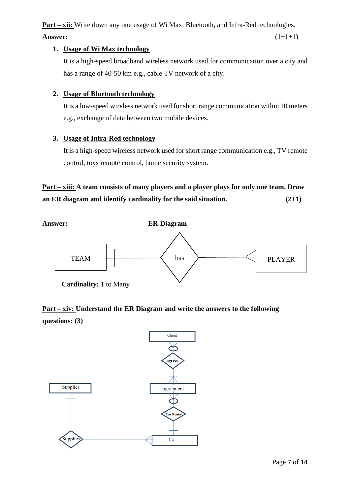**Part – xii:** Write down any one usage of Wi Max, Bluetooth, and Infra-Red technologies.

**Answer:** (1+1+1)

## **1. Usage of Wi Max technology**

It is a high-speed broadband wireless network used for communication over a city and has a range of 40-50 km e.g., cable TV network of a city.

## **2. Usage of Bluetooth technology**

It is a low-speed wireless network used for short range communication within 10 meters e.g., exchange of data between two mobile devices.

## **3. Usage of Infra-Red technology**

It is a high-speed wireless network used for short range communication e.g., TV remote control, toys remote control, home security system.

# **Part – xiii: A team consists of many players and a player plays for only one team. Draw an ER diagram and identify cardinality for the said situation. (2+1)**



**Part – xiv: Understand the ER Diagram and write the answers to the following questions: (3)**

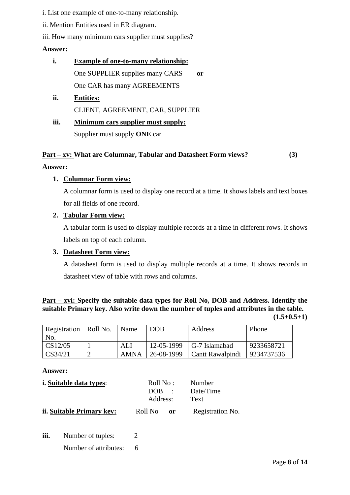i. List one example of one-to-many relationship.

ii. Mention Entities used in ER diagram.

iii. How many minimum cars supplier must supplies?

#### **Answer:**

- **i. Example of one-to-many relationship:** One SUPPLIER supplies many CARS **or** One CAR has many AGREEMENTS
- **ii. Entities:** CLIENT, AGREEMENT, CAR, SUPPLIER
- **iii. Minimum cars supplier must supply:** Supplier must supply **ONE** car

#### **Part – xv: What are Columnar, Tabular and Datasheet Form views? (3)**

#### **Answer:**

#### **1. Columnar Form view:**

A columnar form is used to display one record at a time. It shows labels and text boxes for all fields of one record.

### **2. Tabular Form view:**

A tabular form is used to display multiple records at a time in different rows. It shows labels on top of each column.

#### **3. Datasheet Form view:**

A datasheet form is used to display multiple records at a time. It shows records in datasheet view of table with rows and columns.

#### **Part – xvi: Specify the suitable data types for Roll No, DOB and Address. Identify the suitable Primary key. Also write down the number of tuples and attributes in the table. (1.5+0.5+1)**

| Registration   Roll No.          | Name | <b>DOB</b> | Address                                    | Phone      |
|----------------------------------|------|------------|--------------------------------------------|------------|
| No.                              |      |            |                                            |            |
| $\vert$ CS12/05                  | ALI. |            | $12-05-1999$   G-7 Islamabad               | 9233658721 |
| $\textcolor{blue}{\sim}$ CS34/21 | AMNA |            | 26-08-1999   Cantt Rawalpindi   9234737536 |            |

#### **Answer:**

| <i>i.</i> Suitable data types: | Roll No : -<br>$DOB$ :<br>Address: | Number<br>Date/Time<br>Text |
|--------------------------------|------------------------------------|-----------------------------|
| ii. Suitable Primary key:      | Roll No <b>or</b>                  | Registration No.            |

**iii.** Number of tuples: 2 Number of attributes: 6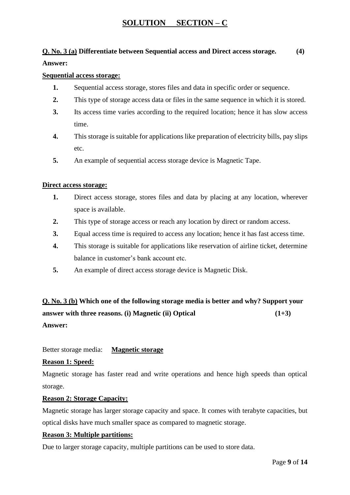## **SOLUTION SECTION – C**

## **Q. No. 3 (a) Differentiate between Sequential access and Direct access storage. (4)**

#### **Answer:**

#### **Sequential access storage:**

- **1.** Sequential access storage, stores files and data in specific order or sequence.
- **2.** This type of storage access data or files in the same sequence in which it is stored.
- **3.** Its access time varies according to the required location; hence it has slow access time.
- **4.** This storage is suitable for applications like preparation of electricity bills, pay slips etc.
- **5.** An example of sequential access storage device is Magnetic Tape.

#### **Direct access storage:**

- **1.** Direct access storage, stores files and data by placing at any location, wherever space is available.
- **2.** This type of storage access or reach any location by direct or random access.
- **3.** Equal access time is required to access any location; hence it has fast access time.
- **4.** This storage is suitable for applications like reservation of airline ticket, determine balance in customer's bank account etc.
- **5.** An example of direct access storage device is Magnetic Disk.

**Q. No. 3 (b) Which one of the following storage media is better and why? Support your answer with three reasons. (i) Magnetic (ii) Optical (1+3) Answer:**

Better storage media: **Magnetic storage**

#### **Reason 1: Speed:**

Magnetic storage has faster read and write operations and hence high speeds than optical storage.

#### **Reason 2: Storage Capacity:**

Magnetic storage has larger storage capacity and space. It comes with terabyte capacities, but optical disks have much smaller space as compared to magnetic storage.

#### **Reason 3: Multiple partitions:**

Due to larger storage capacity, multiple partitions can be used to store data.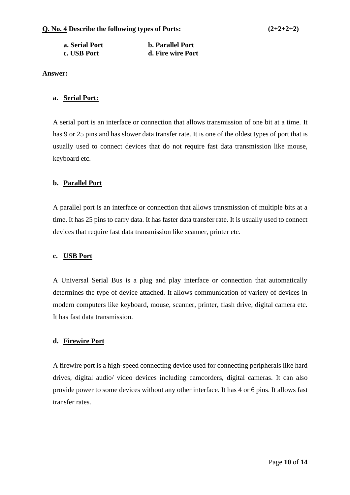| a. Serial Port | <b>b.</b> Parallel Port |
|----------------|-------------------------|
| c. USB Port    | d. Fire wire Port       |

#### **a. Serial Port:**

A serial port is an interface or connection that allows transmission of one bit at a time. It has 9 or 25 pins and has slower data transfer rate. It is one of the oldest types of port that is usually used to connect devices that do not require fast data transmission like mouse, keyboard etc.

#### **b. Parallel Port**

A parallel port is an interface or connection that allows transmission of multiple bits at a time. It has 25 pins to carry data. It has faster data transfer rate. It is usually used to connect devices that require fast data transmission like scanner, printer etc.

#### **c. USB Port**

A Universal Serial Bus is a plug and play interface or connection that automatically determines the type of device attached. It allows communication of variety of devices in modern computers like keyboard, mouse, scanner, printer, flash drive, digital camera etc. It has fast data transmission.

#### **d. Firewire Port**

A firewire port is a high-speed connecting device used for connecting peripherals like hard drives, digital audio/ video devices including camcorders, digital cameras. It can also provide power to some devices without any other interface. It has 4 or 6 pins. It allows fast transfer rates.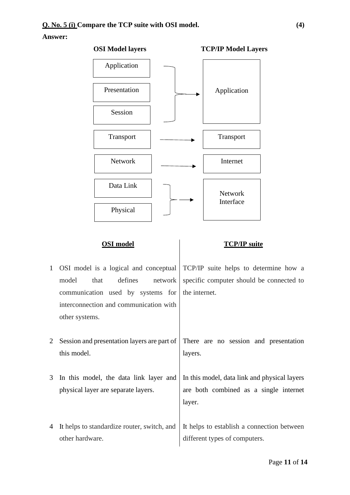

#### **OSI model TCP/IP suite**

- 1 OSI model is a logical and conceptual model that defines network communication used by systems for interconnection and communication with other systems.
- 2 Session and presentation layers are part of this model.
- 3 In this model, the data link layer and physical layer are separate layers.
- 4 It helps to standardize router, switch, and other hardware.

TCP/IP suite helps to determine how a specific computer should be connected to the internet.

There are no session and presentation layers.

In this model, data link and physical layers are both combined as a single internet layer.

It helps to establish a connection between different types of computers.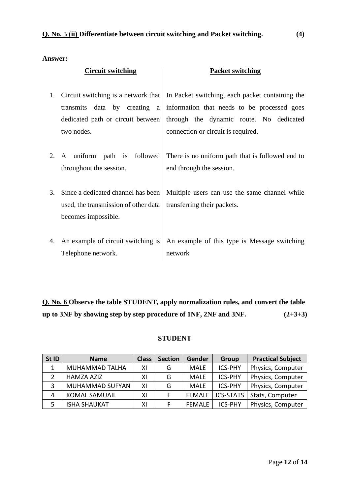|    | <b>Circuit switching</b>                                                                                               | <b>Packet switching</b>                                                                                                                                                         |
|----|------------------------------------------------------------------------------------------------------------------------|---------------------------------------------------------------------------------------------------------------------------------------------------------------------------------|
| 1. | Circuit switching is a network that<br>transmits data by creating a<br>dedicated path or circuit between<br>two nodes. | In Packet switching, each packet containing the<br>information that needs to be processed goes<br>through the dynamic route. No dedicated<br>connection or circuit is required. |
| 2. | A uniform path is followed<br>throughout the session.                                                                  | There is no uniform path that is followed end to<br>end through the session.                                                                                                    |
| 3. | Since a dedicated channel has been<br>used, the transmission of other data<br>becomes impossible.                      | Multiple users can use the same channel while<br>transferring their packets.                                                                                                    |
| 4. | An example of circuit switching is<br>Telephone network.                                                               | An example of this type is Message switching<br>network                                                                                                                         |

**Q. No. 6 Observe the table STUDENT, apply normalization rules, and convert the table up to 3NF by showing step by step procedure of 1NF, 2NF and 3NF. (2+3+3)**

### **STUDENT**

| St ID | <b>Name</b>          | <b>Class</b> | <b>Section</b> | Gender        | Group            | <b>Practical Subject</b> |
|-------|----------------------|--------------|----------------|---------------|------------------|--------------------------|
| 1     | MUHAMMAD TALHA       | ΧI           | G              | <b>MALE</b>   | <b>ICS-PHY</b>   | Physics, Computer        |
|       | <b>HAMZA AZIZ</b>    | ΧI           | G              | <b>MALE</b>   | <b>ICS-PHY</b>   | Physics, Computer        |
| 3     | MUHAMMAD SUFYAN      | ΧI           | G              | MALE          | <b>ICS-PHY</b>   | Physics, Computer        |
| 4     | <b>KOMAL SAMUAIL</b> | ΧI           |                | <b>FEMALE</b> | <b>ICS-STATS</b> | Stats, Computer          |
|       | <b>ISHA SHAUKAT</b>  | ΧI           |                | <b>FEMALE</b> | <b>ICS-PHY</b>   | Physics, Computer        |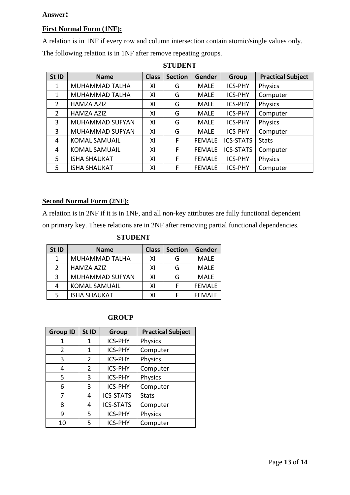#### **First Normal Form (1NF):**

A relation is in 1NF if every row and column intersection contain atomic/single values only.

The following relation is in 1NF after remove repeating groups.

| St ID          | <b>Name</b>          | <b>Class</b> | <b>Section</b> | Gender        | Group            | <b>Practical Subject</b> |
|----------------|----------------------|--------------|----------------|---------------|------------------|--------------------------|
| 1              | MUHAMMAD TALHA       | ΧI           | G              | <b>MALE</b>   | <b>ICS-PHY</b>   | Physics                  |
| 1              | MUHAMMAD TALHA       | XI           | G              | <b>MALE</b>   | <b>ICS-PHY</b>   | Computer                 |
| $\overline{2}$ | <b>HAMZA AZIZ</b>    | ΧI           | G              | <b>MALE</b>   | <b>ICS-PHY</b>   | Physics                  |
| $\overline{2}$ | <b>HAMZA AZIZ</b>    | ΧI           | G              | <b>MALE</b>   | <b>ICS-PHY</b>   | Computer                 |
| 3              | MUHAMMAD SUFYAN      | XI           | G              | <b>MALE</b>   | <b>ICS-PHY</b>   | Physics                  |
| 3              | MUHAMMAD SUFYAN      | XI           | G              | <b>MALE</b>   | <b>ICS-PHY</b>   | Computer                 |
| 4              | <b>KOMAL SAMUAIL</b> | ΧI           | F              | <b>FEMALE</b> | <b>ICS-STATS</b> | <b>Stats</b>             |
| 4              | <b>KOMAL SAMUAIL</b> | ΧI           | F              | <b>FEMALE</b> | <b>ICS-STATS</b> | Computer                 |
| 5.             | <b>ISHA SHAUKAT</b>  | XI           | F              | <b>FEMALE</b> | <b>ICS-PHY</b>   | Physics                  |
| 5              | <b>ISHA SHAUKAT</b>  | ΧI           | F              | <b>FEMALE</b> | <b>ICS-PHY</b>   | Computer                 |

**STUDENT**

#### **Second Normal Form (2NF):**

A relation is in 2NF if it is in 1NF, and all non-key attributes are fully functional dependent on primary key. These relations are in 2NF after removing partial functional dependencies.

| <b>STUDENT</b> |
|----------------|
|----------------|

| St ID         | <b>Name</b>          |    | <b>Section</b> | Gender        |
|---------------|----------------------|----|----------------|---------------|
| 1             | MUHAMMAD TALHA       | ΧI | G              | MALE          |
| $\mathcal{P}$ | <b>HAMZA AZIZ</b>    | ΧI | G              | <b>MALE</b>   |
| 3             | MUHAMMAD SUFYAN      | ΧI | G              | <b>MALE</b>   |
| 4             | <b>KOMAL SAMUAIL</b> | ΧI |                | <b>FEMALE</b> |
| 5             | <b>ISHA SHAUKAT</b>  | x١ |                | <b>FEMALE</b> |

#### **GROUP**

| <b>Group ID</b> | St ID | Group            | <b>Practical Subject</b> |
|-----------------|-------|------------------|--------------------------|
| 1               | 1     | <b>ICS-PHY</b>   | Physics                  |
| 2               | 1     | <b>ICS-PHY</b>   | Computer                 |
| 3               | 2     | <b>ICS-PHY</b>   | <b>Physics</b>           |
| 4               | 2     | <b>ICS-PHY</b>   | Computer                 |
| 5               | 3     | <b>ICS-PHY</b>   | <b>Physics</b>           |
| 6               | 3     | <b>ICS-PHY</b>   | Computer                 |
| 7               | 4     | <b>ICS-STATS</b> | <b>Stats</b>             |
| 8               | 4     | <b>ICS-STATS</b> | Computer                 |
| ٩               | 5     | <b>ICS-PHY</b>   | <b>Physics</b>           |
| 10              | 5     | <b>ICS-PHY</b>   | Computer                 |